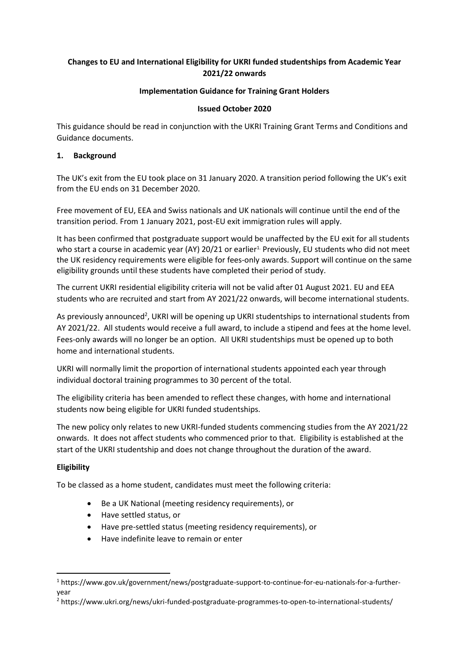# **Changes to EU and International Eligibility for UKRI funded studentships from Academic Year 2021/22 onwards**

# **Implementation Guidance for Training Grant Holders**

### **Issued October 2020**

This guidance should be read in conjunction with the UKRI Training Grant Terms and Conditions and Guidance documents.

### **1. Background**

The UK's exit from the EU took place on 31 January 2020. A transition period following the UK's exit from the EU ends on 31 December 2020.

Free movement of EU, EEA and Swiss nationals and UK nationals will continue until the end of the transition period. From 1 January 2021, post-EU exit immigration rules will apply.

It has been confirmed that postgraduate support would be unaffected by the EU exit for all students who start a course in academic year (AY) 20/21 or earlier<sup>1</sup> Previously, EU students who did not meet the UK residency requirements were eligible for fees-only awards. Support will continue on the same eligibility grounds until these students have completed their period of study.

The current UKRI residential eligibility criteria will not be valid after 01 August 2021. EU and EEA students who are recruited and start from AY 2021/22 onwards, will become international students.

As previously announced<sup>2</sup>, UKRI will be opening up UKRI studentships to international students from AY 2021/22. All students would receive a full award, to include a stipend and fees at the home level. Fees-only awards will no longer be an option. All UKRI studentships must be opened up to both home and international students.

UKRI will normally limit the proportion of international students appointed each year through individual doctoral training programmes to 30 percent of the total.

The eligibility criteria has been amended to reflect these changes, with home and international students now being eligible for UKRI funded studentships.

The new policy only relates to new UKRI-funded students commencing studies from the AY 2021/22 onwards. It does not affect students who commenced prior to that. Eligibility is established at the start of the UKRI studentship and does not change throughout the duration of the award.

# **Eligibility**

To be classed as a home student, candidates must meet the following criteria:

- Be a UK National (meeting residency requirements), or
- Have settled status, or
- Have pre-settled status (meeting residency requirements), or
- Have indefinite leave to remain or enter

<sup>1</sup> https://www.gov.uk/government/news/postgraduate-support-to-continue-for-eu-nationals-for-a-furtheryear

<sup>2</sup> https://www.ukri.org/news/ukri-funded-postgraduate-programmes-to-open-to-international-students/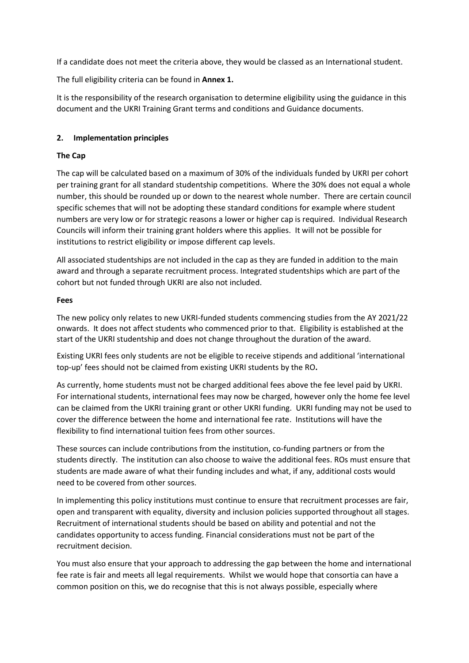If a candidate does not meet the criteria above, they would be classed as an International student.

The full eligibility criteria can be found in **Annex 1.**

It is the responsibility of the research organisation to determine eligibility using the guidance in this document and the UKRI Training Grant terms and conditions and Guidance documents.

### **2. Implementation principles**

### **The Cap**

The cap will be calculated based on a maximum of 30% of the individuals funded by UKRI per cohort per training grant for all standard studentship competitions. Where the 30% does not equal a whole number, this should be rounded up or down to the nearest whole number. There are certain council specific schemes that will not be adopting these standard conditions for example where student numbers are very low or for strategic reasons a lower or higher cap is required. Individual Research Councils will inform their training grant holders where this applies. It will not be possible for institutions to restrict eligibility or impose different cap levels.

All associated studentships are not included in the cap as they are funded in addition to the main award and through a separate recruitment process. Integrated studentships which are part of the cohort but not funded through UKRI are also not included.

#### **Fees**

The new policy only relates to new UKRI-funded students commencing studies from the AY 2021/22 onwards. It does not affect students who commenced prior to that. Eligibility is established at the start of the UKRI studentship and does not change throughout the duration of the award.

Existing UKRI fees only students are not be eligible to receive stipends and additional 'international top-up' fees should not be claimed from existing UKRI students by the RO**.** 

As currently, home students must not be charged additional fees above the fee level paid by UKRI. For international students, international fees may now be charged, however only the home fee level can be claimed from the UKRI training grant or other UKRI funding. UKRI funding may not be used to cover the difference between the home and international fee rate. Institutions will have the flexibility to find international tuition fees from other sources.

These sources can include contributions from the institution, co-funding partners or from the students directly. The institution can also choose to waive the additional fees. ROs must ensure that students are made aware of what their funding includes and what, if any, additional costs would need to be covered from other sources.

In implementing this policy institutions must continue to ensure that recruitment processes are fair, open and transparent with equality, diversity and inclusion policies supported throughout all stages. Recruitment of international students should be based on ability and potential and not the candidates opportunity to access funding. Financial considerations must not be part of the recruitment decision.

You must also ensure that your approach to addressing the gap between the home and international fee rate is fair and meets all legal requirements. Whilst we would hope that consortia can have a common position on this, we do recognise that this is not always possible, especially where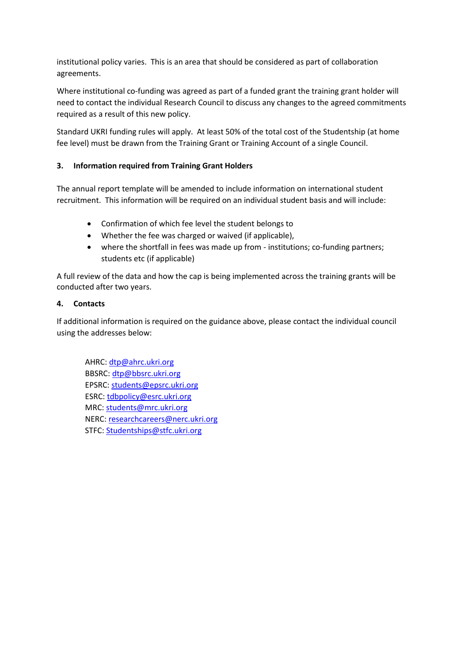institutional policy varies. This is an area that should be considered as part of collaboration agreements.

Where institutional co-funding was agreed as part of a funded grant the training grant holder will need to contact the individual Research Council to discuss any changes to the agreed commitments required as a result of this new policy.

Standard UKRI funding rules will apply. At least 50% of the total cost of the Studentship (at home fee level) must be drawn from the Training Grant or Training Account of a single Council.

# **3. Information required from Training Grant Holders**

The annual report template will be amended to include information on international student recruitment. This information will be required on an individual student basis and will include:

- Confirmation of which fee level the student belongs to
- Whether the fee was charged or waived (if applicable),
- where the shortfall in fees was made up from institutions; co-funding partners; students etc (if applicable)

A full review of the data and how the cap is being implemented across the training grants will be conducted after two years.

### **4. Contacts**

If additional information is required on the guidance above, please contact the individual council using the addresses below:

AHRC[: dtp@ahrc.ukri.org](mailto:dtp@ahrc.ukri.org) BBSRC: [dtp@bbsrc.ukri.org](mailto:dtp@bbsrc.ukri.org) EPSRC: [students@epsrc.ukri.org](mailto:students@epsrc.ukri.org) ESRC[: tdbpolicy@esrc.ukri.org](mailto:tdbpolicy@esrc.ukri.org) MRC[: students@mrc.ukri.org](mailto:students@mrc.ukri.org) NERC[: researchcareers@nerc.ukri.org](mailto:researchcareers@nerc.ukri.org) STFC: [Studentships@stfc.ukri.org](mailto:Studentships@stfc.ukri.org)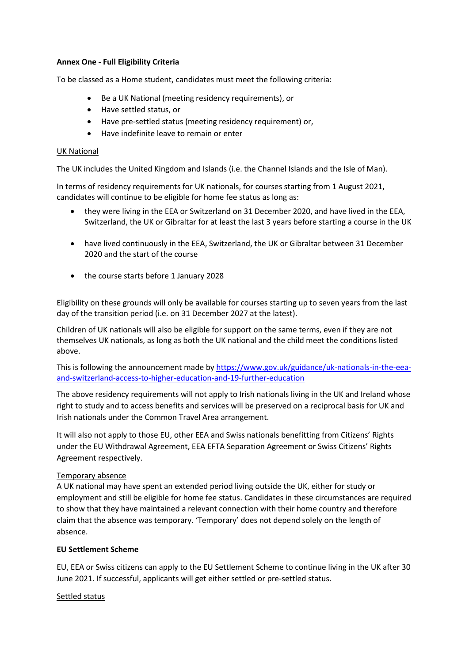### **Annex One - Full Eligibility Criteria**

To be classed as a Home student, candidates must meet the following criteria:

- Be a UK National (meeting residency requirements), or
- Have settled status, or
- Have pre-settled status (meeting residency requirement) or,
- Have indefinite leave to remain or enter

### UK National

The UK includes the United Kingdom and Islands (i.e. the Channel Islands and the Isle of Man).

In terms of residency requirements for UK nationals, for courses starting from 1 August 2021, candidates will continue to be eligible for home fee status as long as:

- they were living in the EEA or Switzerland on 31 December 2020, and have lived in the EEA, Switzerland, the UK or Gibraltar for at least the last 3 years before starting a course in the UK
- have lived continuously in the EEA, Switzerland, the UK or Gibraltar between 31 December 2020 and the start of the course
- the course starts before 1 January 2028

Eligibility on these grounds will only be available for courses starting up to seven years from the last day of the transition period (i.e. on 31 December 2027 at the latest).

Children of UK nationals will also be eligible for support on the same terms, even if they are not themselves UK nationals, as long as both the UK national and the child meet the conditions listed above.

This is following the announcement made by [https://www.gov.uk/guidance/uk-nationals-in-the-eea](https://www.gov.uk/guidance/uk-nationals-in-the-eea-and-switzerland-access-to-higher-education-and-19-further-education)[and-switzerland-access-to-higher-education-and-19-further-education](https://www.gov.uk/guidance/uk-nationals-in-the-eea-and-switzerland-access-to-higher-education-and-19-further-education)

The above residency requirements will not apply to Irish nationals living in the UK and Ireland whose right to study and to access benefits and services will be preserved on a reciprocal basis for UK and Irish nationals under the Common Travel Area arrangement.

It will also not apply to those EU, other EEA and Swiss nationals benefitting from Citizens' Rights under the EU Withdrawal Agreement, EEA EFTA Separation Agreement or Swiss Citizens' Rights Agreement respectively.

# Temporary absence

A UK national may have spent an extended period living outside the UK, either for study or employment and still be eligible for home fee status. Candidates in these circumstances are required to show that they have maintained a relevant connection with their home country and therefore claim that the absence was temporary. 'Temporary' does not depend solely on the length of absence.

# **EU Settlement Scheme**

EU, EEA or Swiss citizens can apply to the EU Settlement Scheme to continue living in the UK after 30 June 2021. If successful, applicants will get either settled or pre-settled status.

# Settled status